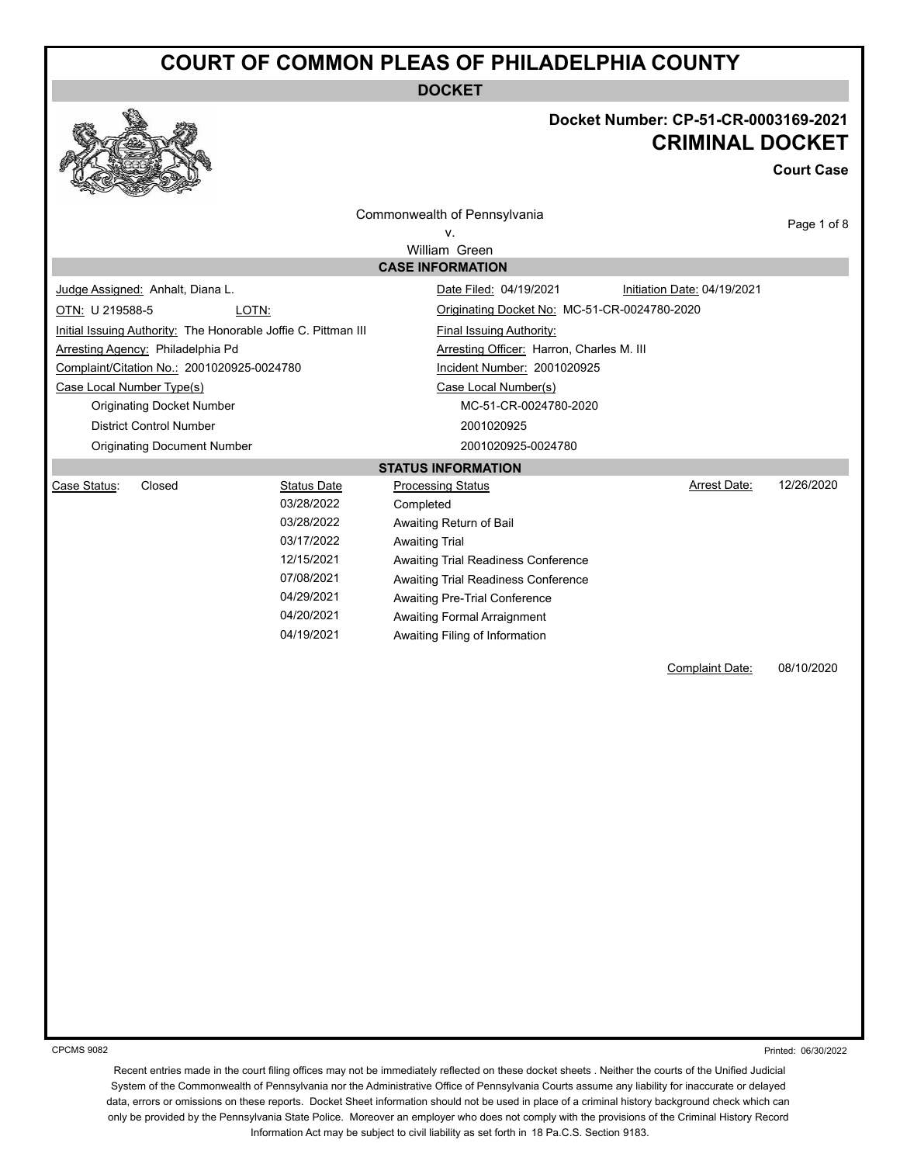**DOCKET**



## **Docket Number: CP-51-CR-0003169-2021 CRIMINAL DOCKET**

**Court Case**

| <b>CONST</b>                                                                                                                                                |                    |                                              |                             |             |
|-------------------------------------------------------------------------------------------------------------------------------------------------------------|--------------------|----------------------------------------------|-----------------------------|-------------|
|                                                                                                                                                             |                    | Commonwealth of Pennsylvania                 |                             | Page 1 of 8 |
|                                                                                                                                                             |                    | ۷.                                           |                             |             |
|                                                                                                                                                             |                    | William Green<br><b>CASE INFORMATION</b>     |                             |             |
| Judge Assigned: Anhalt, Diana L.                                                                                                                            |                    | Date Filed: 04/19/2021                       | Initiation Date: 04/19/2021 |             |
|                                                                                                                                                             |                    |                                              |                             |             |
| OTN: U 219588-5                                                                                                                                             | LOTN:              | Originating Docket No: MC-51-CR-0024780-2020 |                             |             |
| Initial Issuing Authority: The Honorable Joffie C. Pittman III<br><b>Final Issuing Authority:</b>                                                           |                    |                                              |                             |             |
| Arresting Agency: Philadelphia Pd<br>Arresting Officer: Harron, Charles M. III<br>Complaint/Citation No.: 2001020925-0024780<br>Incident Number: 2001020925 |                    |                                              |                             |             |
| Case Local Number Type(s)                                                                                                                                   |                    | Case Local Number(s)                         |                             |             |
| <b>Originating Docket Number</b>                                                                                                                            |                    | MC-51-CR-0024780-2020                        |                             |             |
| <b>District Control Number</b>                                                                                                                              |                    | 2001020925                                   |                             |             |
| <b>Originating Document Number</b>                                                                                                                          |                    | 2001020925-0024780                           |                             |             |
|                                                                                                                                                             |                    | <b>STATUS INFORMATION</b>                    |                             |             |
| Case Status:<br>Closed                                                                                                                                      | <b>Status Date</b> | <b>Processing Status</b>                     | Arrest Date:                | 12/26/2020  |
|                                                                                                                                                             | 03/28/2022         | Completed                                    |                             |             |
|                                                                                                                                                             | 03/28/2022         | Awaiting Return of Bail                      |                             |             |
|                                                                                                                                                             | 03/17/2022         | <b>Awaiting Trial</b>                        |                             |             |
|                                                                                                                                                             | 12/15/2021         | Awaiting Trial Readiness Conference          |                             |             |
|                                                                                                                                                             | 07/08/2021         | Awaiting Trial Readiness Conference          |                             |             |
|                                                                                                                                                             | 04/29/2021         | <b>Awaiting Pre-Trial Conference</b>         |                             |             |
|                                                                                                                                                             | 04/20/2021         | <b>Awaiting Formal Arraignment</b>           |                             |             |
|                                                                                                                                                             | 04/19/2021         | Awaiting Filing of Information               |                             |             |
|                                                                                                                                                             |                    |                                              | Complaint Date:             | 08/10/2020  |
|                                                                                                                                                             |                    |                                              |                             |             |
|                                                                                                                                                             |                    |                                              |                             |             |
|                                                                                                                                                             |                    |                                              |                             |             |
|                                                                                                                                                             |                    |                                              |                             |             |
|                                                                                                                                                             |                    |                                              |                             |             |
|                                                                                                                                                             |                    |                                              |                             |             |
|                                                                                                                                                             |                    |                                              |                             |             |
|                                                                                                                                                             |                    |                                              |                             |             |
|                                                                                                                                                             |                    |                                              |                             |             |
|                                                                                                                                                             |                    |                                              |                             |             |
|                                                                                                                                                             |                    |                                              |                             |             |
|                                                                                                                                                             |                    |                                              |                             |             |
|                                                                                                                                                             |                    |                                              |                             |             |
|                                                                                                                                                             |                    |                                              |                             |             |
|                                                                                                                                                             |                    |                                              |                             |             |
|                                                                                                                                                             |                    |                                              |                             |             |
|                                                                                                                                                             |                    |                                              |                             |             |

CPCMS 9082

Printed: 06/30/2022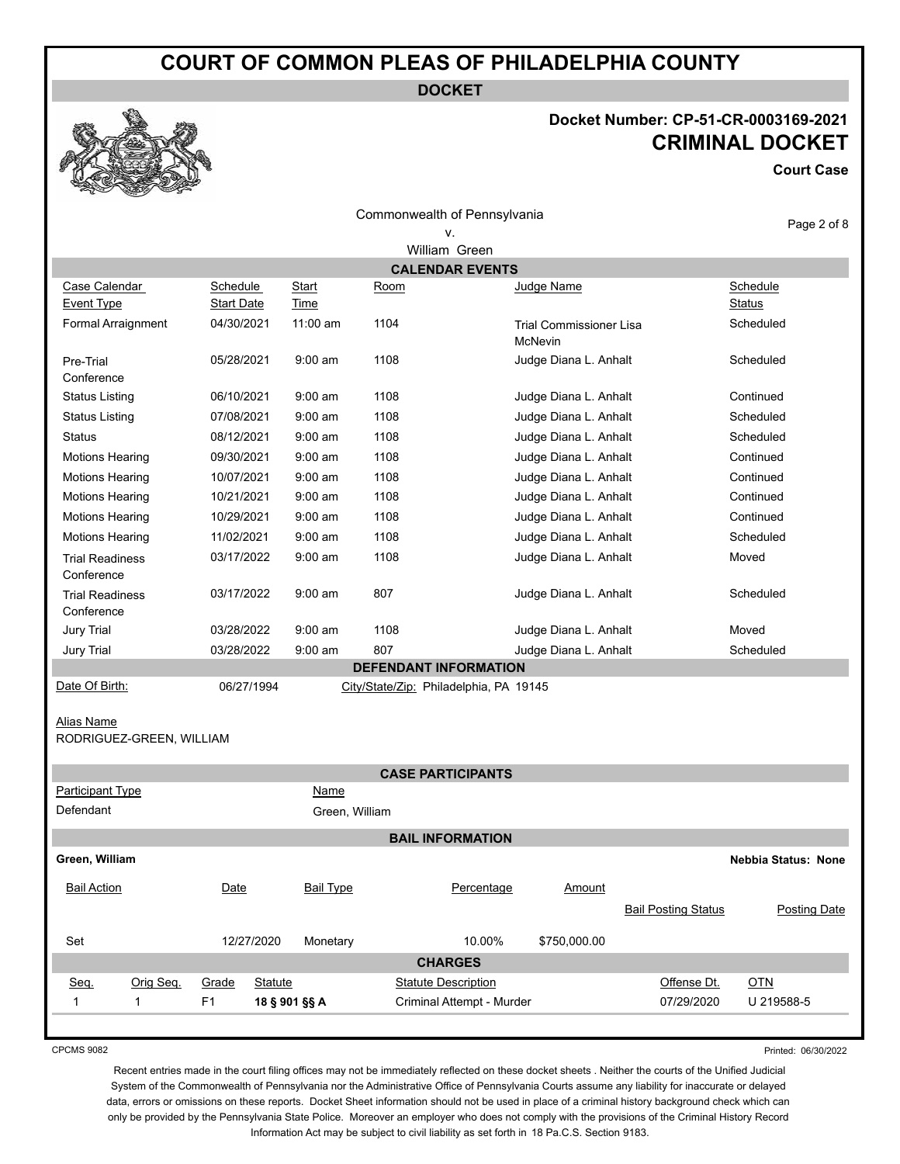**DOCKET**

# **Docket Number: CP-51-CR-0003169-2021 CRIMINAL DOCKET**

**Court Case**



| Commonwealth of Pennsylvania |  |
|------------------------------|--|
|                              |  |

#### Page 2 of 8

|                                               |                               |                             |      | William Green                          |                                                  |                            |                            |              |
|-----------------------------------------------|-------------------------------|-----------------------------|------|----------------------------------------|--------------------------------------------------|----------------------------|----------------------------|--------------|
|                                               |                               |                             |      | <b>CALENDAR EVENTS</b>                 |                                                  |                            |                            |              |
| Case Calendar<br><b>Event Type</b>            | Schedule<br><b>Start Date</b> | <b>Start</b><br><b>Time</b> | Room |                                        | Judge Name                                       |                            | Schedule<br>Status         |              |
| Formal Arraignment                            | 04/30/2021                    | 11:00 am                    | 1104 |                                        | <b>Trial Commissioner Lisa</b><br><b>McNevin</b> |                            | Scheduled                  |              |
| Pre-Trial<br>Conference                       | 05/28/2021                    | $9:00$ am                   | 1108 |                                        | Judge Diana L. Anhalt                            |                            | Scheduled                  |              |
| <b>Status Listing</b>                         | 06/10/2021                    | $9:00$ am                   | 1108 |                                        | Judge Diana L. Anhalt                            |                            | Continued                  |              |
| <b>Status Listing</b>                         | 07/08/2021                    | $9:00$ am                   | 1108 |                                        | Judge Diana L. Anhalt                            |                            | Scheduled                  |              |
| Status                                        | 08/12/2021                    | $9:00$ am                   | 1108 |                                        | Judge Diana L. Anhalt                            |                            | Scheduled                  |              |
| <b>Motions Hearing</b>                        | 09/30/2021                    | $9:00$ am                   | 1108 |                                        | Judge Diana L. Anhalt                            |                            | Continued                  |              |
| <b>Motions Hearing</b>                        | 10/07/2021                    | $9:00$ am                   | 1108 |                                        | Judge Diana L. Anhalt                            |                            | Continued                  |              |
| <b>Motions Hearing</b>                        | 10/21/2021                    | $9:00$ am                   | 1108 |                                        | Judge Diana L. Anhalt                            |                            | Continued                  |              |
| <b>Motions Hearing</b>                        | 10/29/2021                    | $9:00$ am                   | 1108 |                                        | Judge Diana L. Anhalt                            |                            | Continued                  |              |
| <b>Motions Hearing</b>                        | 11/02/2021                    | $9:00$ am                   | 1108 |                                        | Judge Diana L. Anhalt                            |                            | Scheduled                  |              |
| <b>Trial Readiness</b><br>Conference          | 03/17/2022                    | $9:00$ am                   | 1108 |                                        | Judge Diana L. Anhalt                            |                            | Moved                      |              |
| <b>Trial Readiness</b><br>Conference          | 03/17/2022                    | $9:00$ am                   | 807  |                                        | Judge Diana L. Anhalt                            |                            | Scheduled                  |              |
| <b>Jury Trial</b>                             | 03/28/2022                    | $9:00$ am                   | 1108 |                                        | Judge Diana L. Anhalt                            |                            | Moved                      |              |
| <b>Jury Trial</b>                             | 03/28/2022                    | $9:00$ am                   | 807  |                                        | Judge Diana L. Anhalt                            |                            | Scheduled                  |              |
|                                               |                               |                             |      | <b>DEFENDANT INFORMATION</b>           |                                                  |                            |                            |              |
| Date Of Birth:                                | 06/27/1994                    |                             |      | City/State/Zip: Philadelphia, PA 19145 |                                                  |                            |                            |              |
| <b>Alias Name</b><br>RODRIGUEZ-GREEN, WILLIAM |                               |                             |      |                                        |                                                  |                            |                            |              |
|                                               |                               |                             |      | <b>CASE PARTICIPANTS</b>               |                                                  |                            |                            |              |
| <b>Participant Type</b>                       |                               | Name                        |      |                                        |                                                  |                            |                            |              |
| Defendant                                     |                               | Green, William              |      |                                        |                                                  |                            |                            |              |
|                                               |                               |                             |      | <b>BAIL INFORMATION</b>                |                                                  |                            |                            |              |
| Green, William                                |                               |                             |      |                                        |                                                  |                            | <b>Nebbia Status: None</b> |              |
| <b>Bail Action</b>                            | Date                          | <b>Bail Type</b>            |      | Percentage                             | Amount                                           | <b>Bail Posting Status</b> |                            | Posting Date |
| Set                                           | 12/27/2020                    | Monetarv                    |      | 10 00%                                 | \$750,000,00                                     |                            |                            |              |

| Set         |           |       | 12/27/2020    | Monetary | 10.00%                     | \$750,000.00 |             |            |  |
|-------------|-----------|-------|---------------|----------|----------------------------|--------------|-------------|------------|--|
|             |           |       |               |          | <b>CHARGES</b>             |              |             |            |  |
| <u>Seq.</u> | Orig Seg. | Grade | Statute       |          | <b>Statute Description</b> |              | Offense Dt. | OTN        |  |
|             |           | F1    | 18 § 901 §§ A |          | Criminal Attempt - Murder  |              | 07/29/2020  | U 219588-5 |  |
|             |           |       |               |          |                            |              |             |            |  |

CPCMS 9082

Printed: 06/30/2022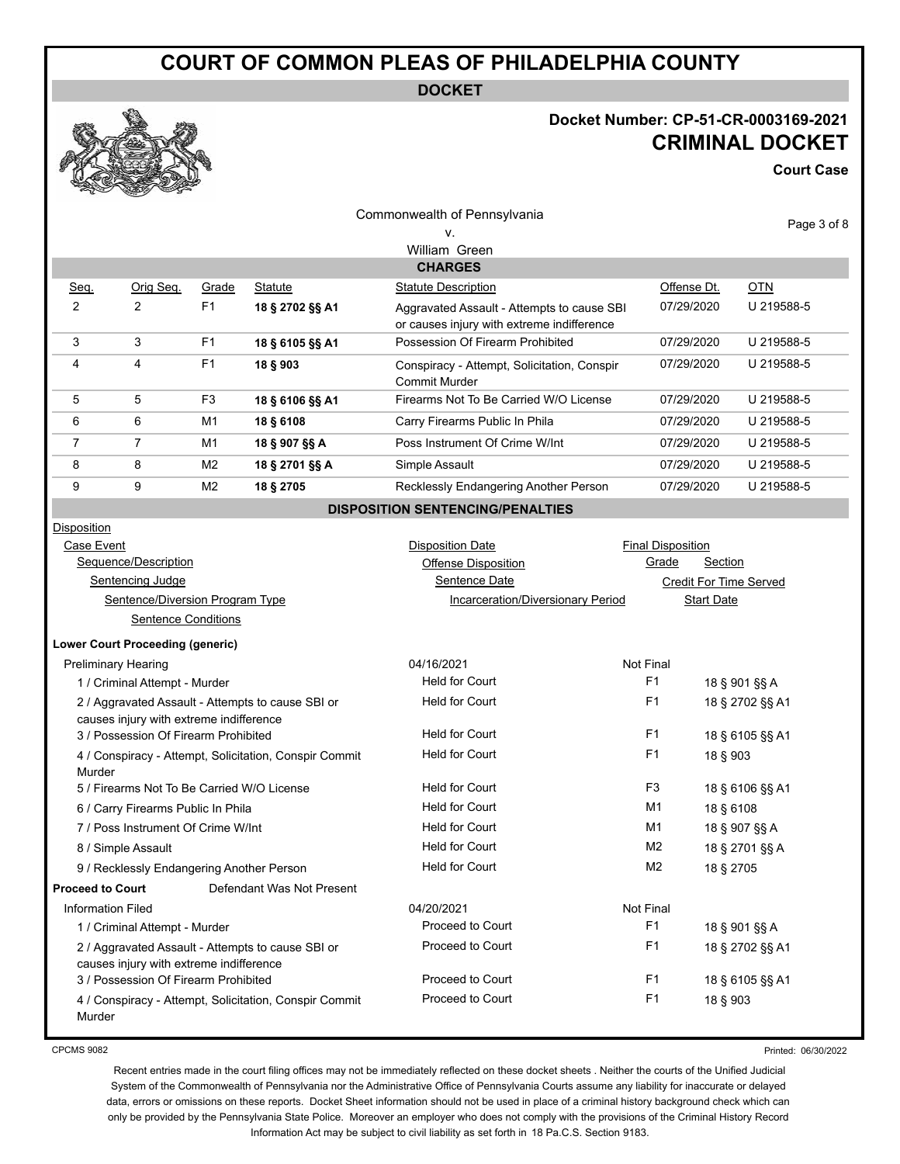**DOCKET**

## **Docket Number: CP-51-CR-0003169-2021 CRIMINAL DOCKET**

**Court Case**

| Q                               | $\begin{picture}(120,140) \put(0,0){\line(1,0){10}} \put(15,0){\line(1,0){10}} \put(15,0){\line(1,0){10}} \put(15,0){\line(1,0){10}} \put(15,0){\line(1,0){10}} \put(15,0){\line(1,0){10}} \put(15,0){\line(1,0){10}} \put(15,0){\line(1,0){10}} \put(15,0){\line(1,0){10}} \put(15,0){\line(1,0){10}} \put(15,0){\line(1,0){10}} \put(15,0){\line$<br><b>Contraction</b> |                            |                                                        |                                                                                          |                          |                   |                               |  |
|---------------------------------|---------------------------------------------------------------------------------------------------------------------------------------------------------------------------------------------------------------------------------------------------------------------------------------------------------------------------------------------------------------------------|----------------------------|--------------------------------------------------------|------------------------------------------------------------------------------------------|--------------------------|-------------------|-------------------------------|--|
|                                 |                                                                                                                                                                                                                                                                                                                                                                           |                            |                                                        | Commonwealth of Pennsylvania                                                             |                          |                   |                               |  |
|                                 |                                                                                                                                                                                                                                                                                                                                                                           |                            |                                                        | ۷.                                                                                       |                          |                   | Page 3 of 8                   |  |
|                                 |                                                                                                                                                                                                                                                                                                                                                                           |                            |                                                        | William Green                                                                            |                          |                   |                               |  |
|                                 |                                                                                                                                                                                                                                                                                                                                                                           |                            |                                                        | <b>CHARGES</b>                                                                           |                          |                   |                               |  |
| Seq.                            | Orig Seq.                                                                                                                                                                                                                                                                                                                                                                 | Grade                      | <b>Statute</b>                                         | <b>Statute Description</b>                                                               |                          | Offense Dt.       | <b>OTN</b>                    |  |
| $\overline{2}$                  | $\overline{2}$                                                                                                                                                                                                                                                                                                                                                            | F <sub>1</sub>             | 18 § 2702 §§ A1                                        | Aggravated Assault - Attempts to cause SBI<br>or causes injury with extreme indifference |                          | 07/29/2020        | U 219588-5                    |  |
| 3                               | 3                                                                                                                                                                                                                                                                                                                                                                         | F <sub>1</sub>             | 18 § 6105 §§ A1                                        | Possession Of Firearm Prohibited                                                         |                          | 07/29/2020        | U 219588-5                    |  |
| 4                               | 4                                                                                                                                                                                                                                                                                                                                                                         | F <sub>1</sub>             | 18 § 903                                               | Conspiracy - Attempt, Solicitation, Conspir<br><b>Commit Murder</b>                      | U 219588-5               |                   |                               |  |
| 5                               | 5                                                                                                                                                                                                                                                                                                                                                                         | F <sub>3</sub>             | 18 § 6106 §§ A1                                        | Firearms Not To Be Carried W/O License                                                   |                          | 07/29/2020        | U 219588-5                    |  |
| 6                               | 6                                                                                                                                                                                                                                                                                                                                                                         | M1                         | 18 § 6108                                              | Carry Firearms Public In Phila                                                           |                          | 07/29/2020        | U 219588-5                    |  |
| 7                               | $\overline{7}$                                                                                                                                                                                                                                                                                                                                                            | M1                         | 18 § 907 §§ A                                          | Poss Instrument Of Crime W/Int                                                           |                          | 07/29/2020        | U 219588-5                    |  |
| 8                               | 8                                                                                                                                                                                                                                                                                                                                                                         | M <sub>2</sub>             | 18 § 2701 §§ A                                         | Simple Assault                                                                           |                          | 07/29/2020        | U 219588-5                    |  |
| 9                               | 9                                                                                                                                                                                                                                                                                                                                                                         | M <sub>2</sub>             | 18 § 2705                                              | Recklessly Endangering Another Person                                                    |                          | 07/29/2020        | U 219588-5                    |  |
|                                 |                                                                                                                                                                                                                                                                                                                                                                           |                            |                                                        | <b>DISPOSITION SENTENCING/PENALTIES</b>                                                  |                          |                   |                               |  |
| Disposition                     |                                                                                                                                                                                                                                                                                                                                                                           |                            |                                                        |                                                                                          |                          |                   |                               |  |
| Case Event                      |                                                                                                                                                                                                                                                                                                                                                                           |                            |                                                        | <b>Disposition Date</b>                                                                  | <b>Final Disposition</b> |                   |                               |  |
| Sequence/Description            |                                                                                                                                                                                                                                                                                                                                                                           |                            |                                                        | <b>Offense Disposition</b>                                                               | Grade                    | Section           |                               |  |
| Sentencing Judge                |                                                                                                                                                                                                                                                                                                                                                                           |                            |                                                        | Sentence Date                                                                            |                          |                   | <b>Credit For Time Served</b> |  |
| Sentence/Diversion Program Type |                                                                                                                                                                                                                                                                                                                                                                           |                            |                                                        | <b>Incarceration/Diversionary Period</b>                                                 |                          | <b>Start Date</b> |                               |  |
|                                 |                                                                                                                                                                                                                                                                                                                                                                           | <b>Sentence Conditions</b> |                                                        |                                                                                          |                          |                   |                               |  |
|                                 | <b>Lower Court Proceeding (generic)</b>                                                                                                                                                                                                                                                                                                                                   |                            |                                                        |                                                                                          |                          |                   |                               |  |
|                                 | <b>Preliminary Hearing</b>                                                                                                                                                                                                                                                                                                                                                |                            |                                                        | 04/16/2021                                                                               | Not Final                |                   |                               |  |
|                                 | 1 / Criminal Attempt - Murder                                                                                                                                                                                                                                                                                                                                             |                            |                                                        | <b>Held for Court</b>                                                                    | F1                       | 18 § 901 §§ A     |                               |  |
|                                 |                                                                                                                                                                                                                                                                                                                                                                           |                            | 2 / Aggravated Assault - Attempts to cause SBI or      | <b>Held for Court</b>                                                                    | F1                       |                   | 18 § 2702 §§ A1               |  |
|                                 | causes injury with extreme indifference                                                                                                                                                                                                                                                                                                                                   |                            |                                                        | <b>Held for Court</b>                                                                    | F1                       |                   |                               |  |
|                                 | 3 / Possession Of Firearm Prohibited                                                                                                                                                                                                                                                                                                                                      |                            |                                                        | <b>Held for Court</b>                                                                    | F <sub>1</sub>           |                   | 18 § 6105 §§ A1               |  |
| Murder                          |                                                                                                                                                                                                                                                                                                                                                                           |                            | 4 / Conspiracy - Attempt, Solicitation, Conspir Commit |                                                                                          |                          | 18 § 903          |                               |  |
|                                 | 5 / Firearms Not To Be Carried W/O License                                                                                                                                                                                                                                                                                                                                |                            |                                                        | <b>Held for Court</b>                                                                    | F3                       |                   | 18 § 6106 §§ A1               |  |
|                                 | 6 / Carry Firearms Public In Phila                                                                                                                                                                                                                                                                                                                                        |                            |                                                        | <b>Held for Court</b>                                                                    | M1                       | 18 § 6108         |                               |  |
|                                 | 7 / Poss Instrument Of Crime W/Int                                                                                                                                                                                                                                                                                                                                        |                            |                                                        | <b>Held for Court</b>                                                                    | M1                       |                   | 18 § 907 §§ A                 |  |
|                                 | 8 / Simple Assault                                                                                                                                                                                                                                                                                                                                                        |                            |                                                        | <b>Held for Court</b>                                                                    | M <sub>2</sub>           |                   | 18 § 2701 §§ A                |  |
|                                 | 9 / Recklessly Endangering Another Person                                                                                                                                                                                                                                                                                                                                 |                            |                                                        | <b>Held for Court</b>                                                                    | M <sub>2</sub>           | 18 § 2705         |                               |  |
| <b>Proceed to Court</b>         |                                                                                                                                                                                                                                                                                                                                                                           |                            | Defendant Was Not Present                              |                                                                                          |                          |                   |                               |  |
| <b>Information Filed</b>        |                                                                                                                                                                                                                                                                                                                                                                           |                            |                                                        | 04/20/2021                                                                               | Not Final                |                   |                               |  |
|                                 | 1 / Criminal Attempt - Murder                                                                                                                                                                                                                                                                                                                                             |                            |                                                        | Proceed to Court                                                                         | F <sub>1</sub>           |                   | 18 § 901 §§ A                 |  |
|                                 |                                                                                                                                                                                                                                                                                                                                                                           |                            | 2 / Aggravated Assault - Attempts to cause SBI or      | Proceed to Court                                                                         | F <sub>1</sub>           |                   | 18 § 2702 §§ A1               |  |
|                                 | causes injury with extreme indifference                                                                                                                                                                                                                                                                                                                                   |                            |                                                        |                                                                                          |                          |                   |                               |  |
|                                 | 3 / Possession Of Firearm Prohibited                                                                                                                                                                                                                                                                                                                                      |                            |                                                        | Proceed to Court                                                                         | F <sub>1</sub>           |                   | 18 § 6105 §§ A1               |  |
|                                 |                                                                                                                                                                                                                                                                                                                                                                           |                            | 4 / Conspiracy - Attempt, Solicitation, Conspir Commit | Proceed to Court                                                                         | F <sub>1</sub>           | 18 § 903          |                               |  |

CPCMS 9082

Murder

Printed: 06/30/2022

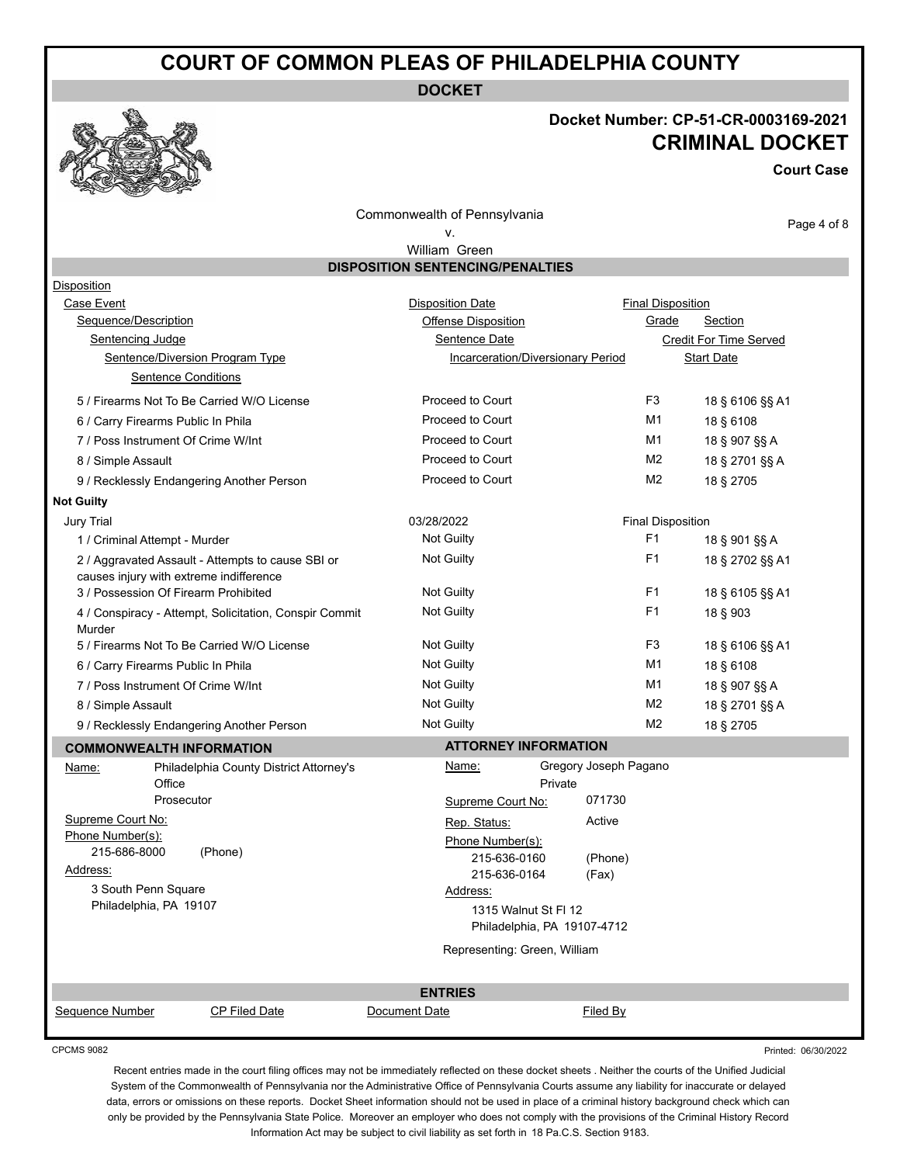**DOCKET**

# **Docket Number: CP-51-CR-0003169-2021 CRIMINAL DOCKET**

**Court Case**

Commonwealth of Pennsylvania

#### v.

Page 4 of 8

Printed: 06/30/2022

William Green **DISPOSITION SENTENCING/PENALTIES**

| Disposition                             |                                                        |                              |                                   |                          |                               |  |
|-----------------------------------------|--------------------------------------------------------|------------------------------|-----------------------------------|--------------------------|-------------------------------|--|
| Case Event                              |                                                        | <b>Disposition Date</b>      |                                   | <b>Final Disposition</b> |                               |  |
| Sequence/Description                    |                                                        | Offense Disposition          |                                   | Grade                    | Section                       |  |
| Sentencing Judge                        |                                                        | Sentence Date                |                                   |                          | <b>Credit For Time Served</b> |  |
|                                         | Sentence/Diversion Program Type                        |                              | Incarceration/Diversionary Period |                          | <b>Start Date</b>             |  |
|                                         | <b>Sentence Conditions</b>                             |                              |                                   |                          |                               |  |
|                                         | 5 / Firearms Not To Be Carried W/O License             | Proceed to Court             |                                   | F <sub>3</sub>           | 18 § 6106 §§ A1               |  |
| 6 / Carry Firearms Public In Phila      |                                                        | Proceed to Court             |                                   | M1                       | 18 § 6108                     |  |
| 7 / Poss Instrument Of Crime W/Int      |                                                        | Proceed to Court             |                                   | M1                       | 18 § 907 §§ A                 |  |
| 8 / Simple Assault                      |                                                        | Proceed to Court             |                                   | M <sub>2</sub>           | 18 § 2701 §§ A                |  |
|                                         | 9 / Recklessly Endangering Another Person              | Proceed to Court             |                                   | M <sub>2</sub>           | 18 § 2705                     |  |
| <b>Not Guilty</b>                       |                                                        |                              |                                   |                          |                               |  |
| <b>Jury Trial</b>                       |                                                        | 03/28/2022                   |                                   | <b>Final Disposition</b> |                               |  |
| 1 / Criminal Attempt - Murder           |                                                        | Not Guilty                   |                                   | F <sub>1</sub>           | 18 § 901 §§ A                 |  |
| causes injury with extreme indifference | 2 / Aggravated Assault - Attempts to cause SBI or      | Not Guilty                   |                                   | F <sub>1</sub>           | 18 § 2702 §§ A1               |  |
| 3 / Possession Of Firearm Prohibited    |                                                        | Not Guilty                   |                                   | F1                       | 18 § 6105 §§ A1               |  |
| Murder                                  | 4 / Conspiracy - Attempt, Solicitation, Conspir Commit | <b>Not Guilty</b>            |                                   | F <sub>1</sub>           | 18 § 903                      |  |
|                                         | 5 / Firearms Not To Be Carried W/O License             | <b>Not Guilty</b>            |                                   | F <sub>3</sub>           | 18 § 6106 §§ A1               |  |
| 6 / Carry Firearms Public In Phila      |                                                        | <b>Not Guilty</b>            |                                   | M1                       | 18 § 6108                     |  |
| 7 / Poss Instrument Of Crime W/Int      |                                                        | <b>Not Guilty</b>            |                                   | M1                       | 18 § 907 §§ A                 |  |
| 8 / Simple Assault                      |                                                        | Not Guilty                   |                                   | M <sub>2</sub>           | 18 § 2701 §§ A                |  |
|                                         | 9 / Recklessly Endangering Another Person              | <b>Not Guilty</b>            |                                   | M <sub>2</sub>           | 18 § 2705                     |  |
| <b>COMMONWEALTH INFORMATION</b>         |                                                        | <b>ATTORNEY INFORMATION</b>  |                                   |                          |                               |  |
| Name:                                   | Philadelphia County District Attorney's                | Name:                        | Gregory Joseph Pagano             |                          |                               |  |
| Office                                  |                                                        |                              | Private                           |                          |                               |  |
|                                         | Prosecutor                                             | Supreme Court No:            | 071730                            |                          |                               |  |
| Supreme Court No:                       |                                                        | Rep. Status:                 | Active                            |                          |                               |  |
| Phone Number(s):                        |                                                        | Phone Number(s):             |                                   |                          |                               |  |
| 215-686-8000                            | (Phone)                                                | 215-636-0160                 | (Phone)                           |                          |                               |  |
| Address:<br>3 South Penn Square         |                                                        | 215-636-0164                 | (Fax)                             |                          |                               |  |
| Philadelphia, PA 19107                  |                                                        | Address:                     |                                   |                          |                               |  |
|                                         |                                                        | 1315 Walnut St FI 12         | Philadelphia, PA 19107-4712       |                          |                               |  |
|                                         |                                                        |                              |                                   |                          |                               |  |
|                                         |                                                        | Representing: Green, William |                                   |                          |                               |  |
|                                         |                                                        | <b>ENTRIES</b>               |                                   |                          |                               |  |
| Sequence Number                         | CP Filed Date                                          | Document Date                | Filed By                          |                          |                               |  |
|                                         |                                                        |                              |                                   |                          |                               |  |

CPCMS 9082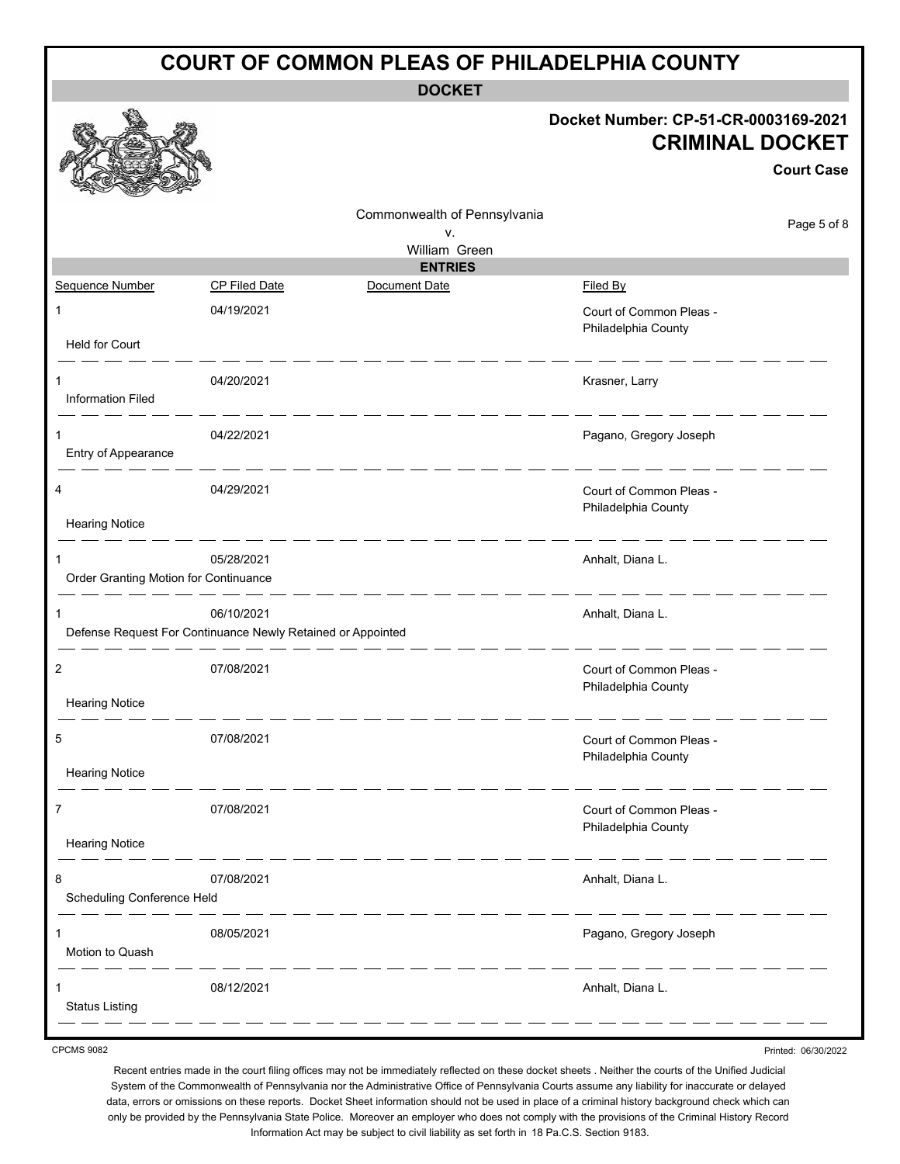| <b>COURT OF COMMON PLEAS OF PHILADELPHIA COUNTY</b> |                                                                           |                              |                                                                                     |  |  |  |
|-----------------------------------------------------|---------------------------------------------------------------------------|------------------------------|-------------------------------------------------------------------------------------|--|--|--|
|                                                     |                                                                           | <b>DOCKET</b>                |                                                                                     |  |  |  |
|                                                     |                                                                           |                              | Docket Number: CP-51-CR-0003169-2021<br><b>CRIMINAL DOCKET</b><br><b>Court Case</b> |  |  |  |
|                                                     |                                                                           | Commonwealth of Pennsylvania | Page 5 of 8                                                                         |  |  |  |
|                                                     |                                                                           | v.<br>William Green          |                                                                                     |  |  |  |
|                                                     |                                                                           | <b>ENTRIES</b>               |                                                                                     |  |  |  |
| Sequence Number                                     | <b>CP Filed Date</b>                                                      | Document Date                | Filed By                                                                            |  |  |  |
| $\mathbf{1}$                                        | 04/19/2021                                                                |                              | Court of Common Pleas -<br>Philadelphia County                                      |  |  |  |
| Held for Court                                      |                                                                           |                              |                                                                                     |  |  |  |
| 1<br><b>Information Filed</b>                       | 04/20/2021                                                                |                              | Krasner, Larry                                                                      |  |  |  |
| 1                                                   | 04/22/2021                                                                |                              | Pagano, Gregory Joseph                                                              |  |  |  |
| Entry of Appearance                                 |                                                                           |                              |                                                                                     |  |  |  |
| 4                                                   | 04/29/2021                                                                |                              | Court of Common Pleas -<br>Philadelphia County                                      |  |  |  |
| <b>Hearing Notice</b>                               |                                                                           |                              |                                                                                     |  |  |  |
| 1<br>Order Granting Motion for Continuance          | 05/28/2021                                                                |                              | Anhalt, Diana L.                                                                    |  |  |  |
| 1                                                   | 06/10/2021<br>Defense Request For Continuance Newly Retained or Appointed |                              | Anhalt, Diana L.                                                                    |  |  |  |
| 2                                                   | 07/08/2021                                                                |                              | Court of Common Pleas -<br>Philadelphia County                                      |  |  |  |
| <b>Hearing Notice</b>                               |                                                                           |                              |                                                                                     |  |  |  |
| 5                                                   | 07/08/2021                                                                |                              | Court of Common Pleas -<br>Philadelphia County                                      |  |  |  |
| <b>Hearing Notice</b>                               |                                                                           |                              |                                                                                     |  |  |  |
| 7                                                   | 07/08/2021                                                                |                              | Court of Common Pleas -<br>Philadelphia County                                      |  |  |  |
| <b>Hearing Notice</b>                               |                                                                           |                              |                                                                                     |  |  |  |
| 8<br>Scheduling Conference Held                     | 07/08/2021                                                                |                              | Anhalt, Diana L.                                                                    |  |  |  |
| Motion to Quash                                     | 08/05/2021                                                                |                              | Pagano, Gregory Joseph                                                              |  |  |  |
| 1<br><b>Status Listing</b>                          | 08/12/2021                                                                |                              | Anhalt, Diana L.                                                                    |  |  |  |

CPCMS 9082

Recent entries made in the court filing offices may not be immediately reflected on these docket sheets . Neither the courts of the Unified Judicial System of the Commonwealth of Pennsylvania nor the Administrative Office of Pennsylvania Courts assume any liability for inaccurate or delayed data, errors or omissions on these reports. Docket Sheet information should not be used in place of a criminal history background check which can only be provided by the Pennsylvania State Police. Moreover an employer who does not comply with the provisions of the Criminal History Record Information Act may be subject to civil liability as set forth in 18 Pa.C.S. Section 9183.

Printed: 06/30/2022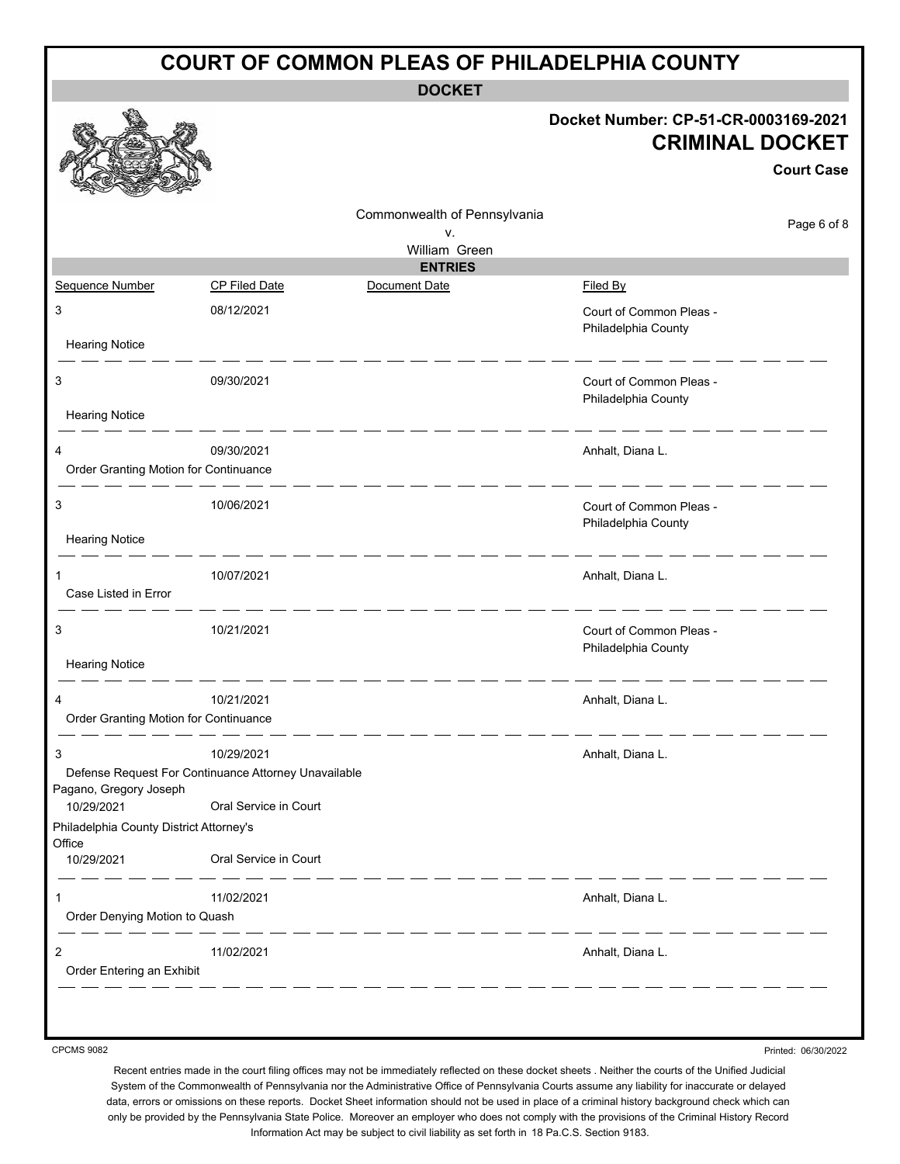| <b>COURT OF COMMON PLEAS OF PHILADELPHIA COUNTY</b> |                                                      |                                                                                     |  |  |  |  |
|-----------------------------------------------------|------------------------------------------------------|-------------------------------------------------------------------------------------|--|--|--|--|
|                                                     | <b>DOCKET</b>                                        |                                                                                     |  |  |  |  |
|                                                     |                                                      | Docket Number: CP-51-CR-0003169-2021<br><b>CRIMINAL DOCKET</b><br><b>Court Case</b> |  |  |  |  |
|                                                     | Commonwealth of Pennsylvania                         | Page 6 of 8                                                                         |  |  |  |  |
|                                                     | v.<br>William Green                                  |                                                                                     |  |  |  |  |
|                                                     | <b>ENTRIES</b>                                       |                                                                                     |  |  |  |  |
| Sequence Number                                     | <b>CP Filed Date</b><br>Document Date                | Filed By                                                                            |  |  |  |  |
| 3                                                   | 08/12/2021                                           | Court of Common Pleas -<br>Philadelphia County                                      |  |  |  |  |
| <b>Hearing Notice</b>                               |                                                      |                                                                                     |  |  |  |  |
| 3<br><b>Hearing Notice</b>                          | 09/30/2021                                           | Court of Common Pleas -<br>Philadelphia County                                      |  |  |  |  |
| 4<br>Order Granting Motion for Continuance          | 09/30/2021                                           | Anhalt, Diana L.                                                                    |  |  |  |  |
|                                                     |                                                      |                                                                                     |  |  |  |  |
| 3<br><b>Hearing Notice</b>                          | 10/06/2021                                           | Court of Common Pleas -<br>Philadelphia County                                      |  |  |  |  |
|                                                     |                                                      |                                                                                     |  |  |  |  |
| 1<br>Case Listed in Error                           | 10/07/2021                                           | Anhalt, Diana L.                                                                    |  |  |  |  |
| 3<br><b>Hearing Notice</b>                          | 10/21/2021                                           | Court of Common Pleas -<br>Philadelphia County                                      |  |  |  |  |
|                                                     |                                                      |                                                                                     |  |  |  |  |
| Order Granting Motion for Continuance               | 10/21/2021                                           | Anhalt, Diana L.                                                                    |  |  |  |  |
| 3                                                   | 10/29/2021                                           | Anhalt, Diana L.                                                                    |  |  |  |  |
| Pagano, Gregory Joseph                              | Defense Request For Continuance Attorney Unavailable |                                                                                     |  |  |  |  |
| 10/29/2021                                          | Oral Service in Court                                |                                                                                     |  |  |  |  |
| Philadelphia County District Attorney's<br>Office   |                                                      |                                                                                     |  |  |  |  |
| 10/29/2021                                          | Oral Service in Court                                |                                                                                     |  |  |  |  |
| 1<br>Order Denying Motion to Quash                  | 11/02/2021                                           | Anhalt, Diana L.                                                                    |  |  |  |  |
| $\overline{c}$<br>Order Entering an Exhibit         | 11/02/2021                                           | Anhalt, Diana L.                                                                    |  |  |  |  |
|                                                     |                                                      |                                                                                     |  |  |  |  |

CPCMS 9082

Recent entries made in the court filing offices may not be immediately reflected on these docket sheets . Neither the courts of the Unified Judicial System of the Commonwealth of Pennsylvania nor the Administrative Office of Pennsylvania Courts assume any liability for inaccurate or delayed data, errors or omissions on these reports. Docket Sheet information should not be used in place of a criminal history background check which can only be provided by the Pennsylvania State Police. Moreover an employer who does not comply with the provisions of the Criminal History Record Information Act may be subject to civil liability as set forth in 18 Pa.C.S. Section 9183.

Printed: 06/30/2022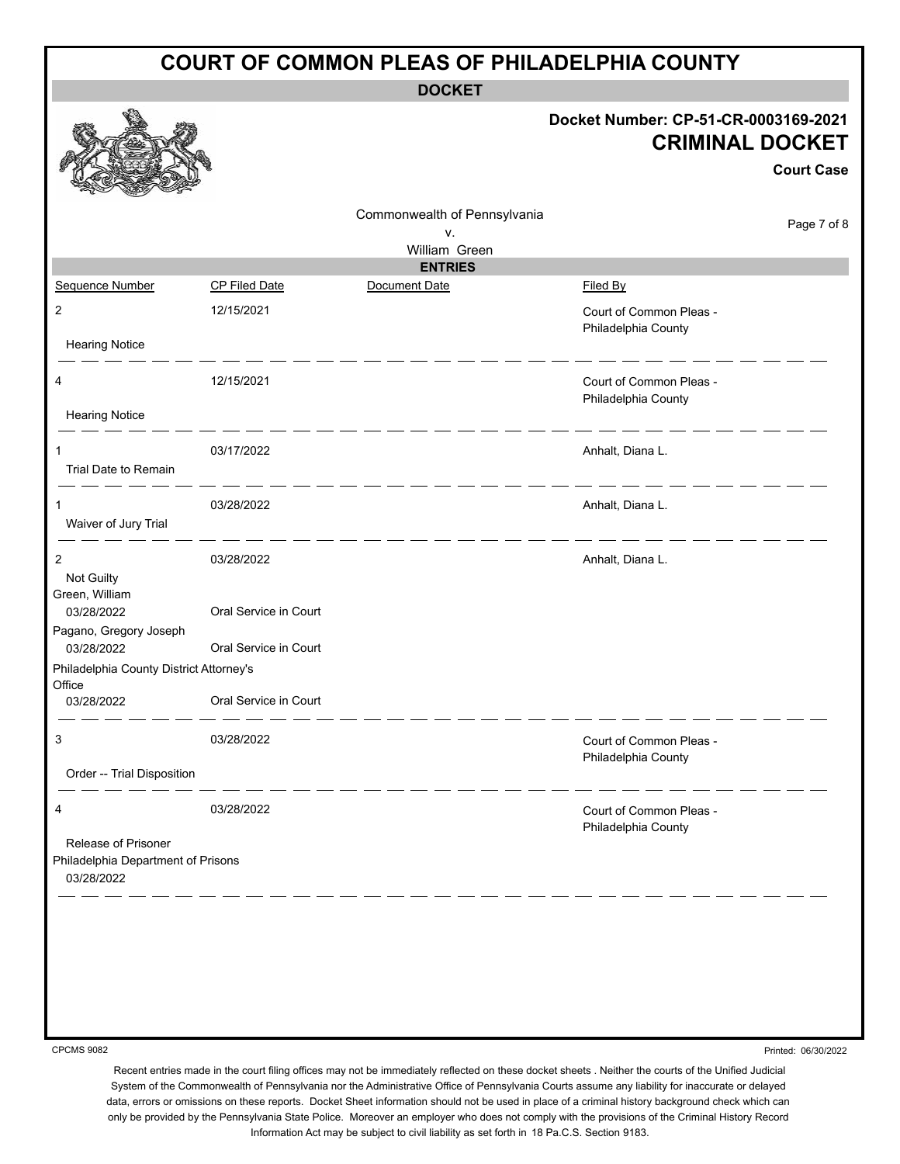| <b>COURT OF COMMON PLEAS OF PHILADELPHIA COUNTY</b>                     |                       |                              |                                                                                     |  |  |  |
|-------------------------------------------------------------------------|-----------------------|------------------------------|-------------------------------------------------------------------------------------|--|--|--|
|                                                                         |                       | <b>DOCKET</b>                |                                                                                     |  |  |  |
|                                                                         |                       |                              | Docket Number: CP-51-CR-0003169-2021<br><b>CRIMINAL DOCKET</b><br><b>Court Case</b> |  |  |  |
|                                                                         |                       | Commonwealth of Pennsylvania | Page 7 of 8                                                                         |  |  |  |
|                                                                         |                       | v.<br>William Green          |                                                                                     |  |  |  |
|                                                                         |                       | <b>ENTRIES</b>               |                                                                                     |  |  |  |
| Sequence Number                                                         | <b>CP Filed Date</b>  | Document Date                | Filed By                                                                            |  |  |  |
| $\overline{2}$<br><b>Hearing Notice</b>                                 | 12/15/2021            |                              | Court of Common Pleas -<br>Philadelphia County                                      |  |  |  |
|                                                                         |                       |                              |                                                                                     |  |  |  |
| 4                                                                       | 12/15/2021            |                              | Court of Common Pleas -<br>Philadelphia County                                      |  |  |  |
| <b>Hearing Notice</b>                                                   |                       |                              |                                                                                     |  |  |  |
| 1<br>Trial Date to Remain                                               | 03/17/2022            |                              | Anhalt, Diana L.                                                                    |  |  |  |
|                                                                         |                       |                              |                                                                                     |  |  |  |
| 1<br>Waiver of Jury Trial                                               | 03/28/2022            |                              | Anhalt, Diana L.                                                                    |  |  |  |
| 2                                                                       | 03/28/2022            |                              | Anhalt, Diana L.                                                                    |  |  |  |
| Not Guilty<br>Green, William<br>03/28/2022                              | Oral Service in Court |                              |                                                                                     |  |  |  |
| Pagano, Gregory Joseph                                                  | Oral Service in Court |                              |                                                                                     |  |  |  |
| 03/28/2022<br>Philadelphia County District Attorney's                   |                       |                              |                                                                                     |  |  |  |
| Office<br>03/28/2022                                                    |                       |                              |                                                                                     |  |  |  |
|                                                                         | Oral Service in Court |                              |                                                                                     |  |  |  |
| 3                                                                       | 03/28/2022            |                              | Court of Common Pleas -<br>Philadelphia County                                      |  |  |  |
| Order -- Trial Disposition                                              |                       |                              |                                                                                     |  |  |  |
| 4                                                                       | 03/28/2022            |                              | Court of Common Pleas -<br>Philadelphia County                                      |  |  |  |
| Release of Prisoner<br>Philadelphia Department of Prisons<br>03/28/2022 |                       |                              |                                                                                     |  |  |  |
|                                                                         |                       |                              |                                                                                     |  |  |  |

CPCMS 9082

Printed: 06/30/2022